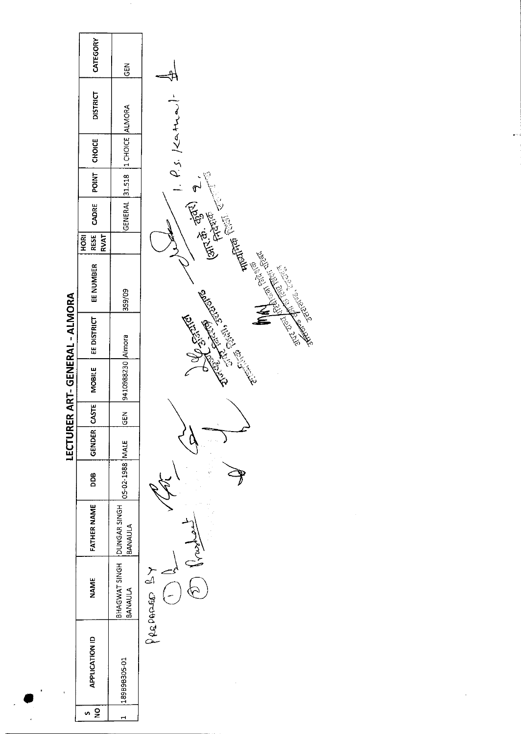|                               | CATEGORY                          | 군<br>5                   |                                          |
|-------------------------------|-----------------------------------|--------------------------|------------------------------------------|
|                               | <b>DISTRICT</b>                   |                          | Article of the Content of C.S. Kathaline |
|                               | CHOICE                            | 1 CHOICE ALMORA          |                                          |
|                               | POINT                             | 31.518                   |                                          |
|                               | CADRE                             | <b>GENERAL</b>           |                                          |
|                               | RESE<br><b>RVAT</b><br><b>ROH</b> |                          |                                          |
| LECTURER ART-GENERAL - ALMORA | EE NUMBER                         | 359/09                   |                                          |
|                               | EE DISTRICT                       |                          | Elisabeth Richard Report                 |
|                               | <b>MOBILE</b>                     | 9410988230 Almora        |                                          |
|                               | <b>CASTE</b>                      | $rac{5}{65}$             |                                          |
|                               | GENDER                            |                          |                                          |
| ı                             | DDB                               | 05-02-1988 MALE          |                                          |
|                               | <b>FATHER NAME</b>                | DUNGAR SINGH<br>BANAULA  |                                          |
|                               | <b>NAME</b>                       | BHAGWAT SINGH<br>BANAULA | $\sum_{n=1}^{\infty}$<br>PREPARADO       |
|                               | <b>APPLICATION ID</b>             | 189B9B305-01             |                                          |
|                               | n g                               | H                        |                                          |

 $\hat{\mathcal{A}}$ 

 $\mathcal{F}$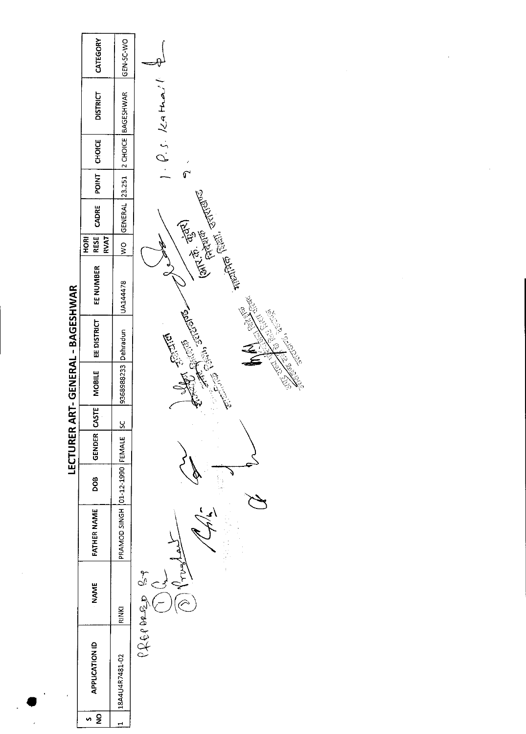| CATEGORY<br>GEN SC-WO<br>$1. \rho_{s}$ . 129 Mai<br><b>BAGESHWAR</b><br><b>DISTRICT</b><br>$2$ CHOICE<br>CHOICE<br>ł<br>$\mathbb{C}$<br>POINT<br>23.251<br>$(3\pi^{2.0} - \frac{1}{10^{2.01}})$<br>GENERAL<br>CADRE<br><b>RESE</b><br><b>RVAT</b><br>HORI<br>$\frac{1}{2}$<br>EE NUMBER<br>UA144478<br><b>CONTRACTORY AND RESIDENCE</b><br><b>CALL ROAD</b><br><b>NATIONAL STATES</b><br>EE DISTRICT |  |          |          |  |
|------------------------------------------------------------------------------------------------------------------------------------------------------------------------------------------------------------------------------------------------------------------------------------------------------------------------------------------------------------------------------------------------------|--|----------|----------|--|
|                                                                                                                                                                                                                                                                                                                                                                                                      |  |          |          |  |
| AKI-GENEKAL-BAGESHWAR                                                                                                                                                                                                                                                                                                                                                                                |  |          |          |  |
|                                                                                                                                                                                                                                                                                                                                                                                                      |  |          |          |  |
|                                                                                                                                                                                                                                                                                                                                                                                                      |  |          |          |  |
|                                                                                                                                                                                                                                                                                                                                                                                                      |  |          |          |  |
|                                                                                                                                                                                                                                                                                                                                                                                                      |  |          |          |  |
|                                                                                                                                                                                                                                                                                                                                                                                                      |  |          |          |  |
|                                                                                                                                                                                                                                                                                                                                                                                                      |  | Dehradun | Children |  |
| 9368988233<br><b>MOBILE</b>                                                                                                                                                                                                                                                                                                                                                                          |  |          |          |  |
| CASTE<br><u>sc</u>                                                                                                                                                                                                                                                                                                                                                                                   |  |          |          |  |
| <b>LEU UKEK</b><br><b>GENDER</b>                                                                                                                                                                                                                                                                                                                                                                     |  |          |          |  |
| pog                                                                                                                                                                                                                                                                                                                                                                                                  |  |          |          |  |
| PRAMOD SINGH 01-12-1990 FEMALE<br><b>FATHER NAME</b>                                                                                                                                                                                                                                                                                                                                                 |  |          |          |  |
| $\mathbb{S}^*$<br><b>NAME</b><br>RINKI                                                                                                                                                                                                                                                                                                                                                               |  |          |          |  |
| 6899920<br><b>APPLICATION ID</b><br>18A4U4R7481-02                                                                                                                                                                                                                                                                                                                                                   |  |          |          |  |
| n g<br>$\rightarrow$                                                                                                                                                                                                                                                                                                                                                                                 |  |          |          |  |

 $\label{eq:2.1} \frac{1}{\sqrt{2}}\int_{\mathbb{R}^3}\frac{1}{\sqrt{2}}\left(\frac{1}{\sqrt{2}}\right)^2\frac{1}{\sqrt{2}}\left(\frac{1}{\sqrt{2}}\right)^2\frac{1}{\sqrt{2}}\left(\frac{1}{\sqrt{2}}\right)^2.$ 

**BAGECHWAD IFCTURER ART-GENERAL** 

 $\frac{1}{2}$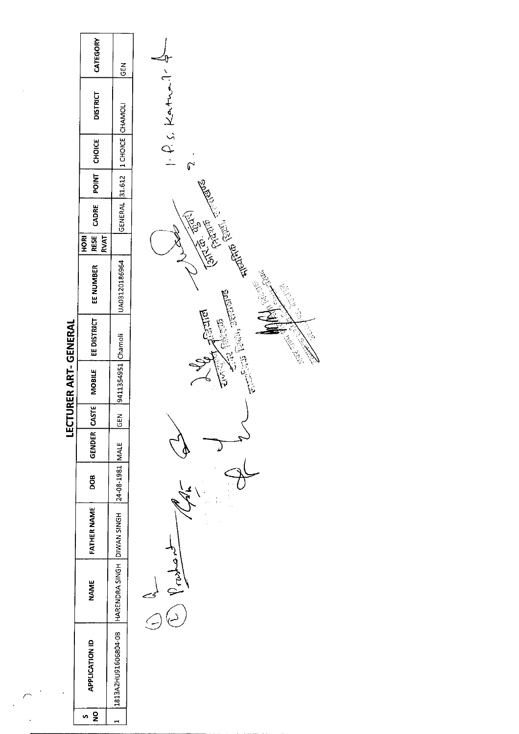|                      | CATEGORY                           | GEN                 |                                                                                                                                                                                                                                                                                                                                                                                                                                                                                                                                                               |
|----------------------|------------------------------------|---------------------|---------------------------------------------------------------------------------------------------------------------------------------------------------------------------------------------------------------------------------------------------------------------------------------------------------------------------------------------------------------------------------------------------------------------------------------------------------------------------------------------------------------------------------------------------------------|
|                      | <b>DISTRICT</b>                    |                     | $\vdash$ f. s. Kather.                                                                                                                                                                                                                                                                                                                                                                                                                                                                                                                                        |
|                      | CHOICE                             | 1 CHOICE CHAMOLI    | ᢑ                                                                                                                                                                                                                                                                                                                                                                                                                                                                                                                                                             |
|                      | <b>POINT</b>                       | 31.612              |                                                                                                                                                                                                                                                                                                                                                                                                                                                                                                                                                               |
|                      | CADRE                              | <b>GENERAL</b>      |                                                                                                                                                                                                                                                                                                                                                                                                                                                                                                                                                               |
|                      | <b>RVAT</b><br><b>RESE</b><br>HORI |                     |                                                                                                                                                                                                                                                                                                                                                                                                                                                                                                                                                               |
|                      | EE NUMBER                          | UA03120186964       | <b>The Contract of Contract of Contract of Contract of Contract of Contract of Contract of Contract of Contract of Contract of Contract of Contract of Contract of Contract of Contract of Contract of Contract of Contract of C</b><br><b>CONTINENT</b><br>्<br>दुरु                                                                                                                                                                                                                                                                                         |
|                      | EE DISTRICT                        |                     | $\label{eq:2.1} \begin{split} \mathcal{L}_{\text{max}}(\mathcal{A},\mathcal{A})=\mathcal{L}_{\text{max}}(\mathcal{A},\mathcal{A})\times\mathcal{L}_{\text{max}}(\mathcal{A},\mathcal{A})\times\mathcal{L}_{\text{max}}(\mathcal{A},\mathcal{A})\times\mathcal{L}_{\text{max}}(\mathcal{A},\mathcal{A})\times\mathcal{L}_{\text{max}}(\mathcal{A},\mathcal{A})\times\mathcal{L}_{\text{max}}(\mathcal{A},\mathcal{A})\times\mathcal{L}_{\text{max}}(\mathcal{A},\mathcal{A})\times\mathcal{L}_{\text$<br>$\frac{1}{\sqrt{2}}$<br>Artis Merida<br>Change Change |
| LECTURER ART-GENERAL | <b>MOBILE</b>                      | 9411354951 Chamoli  |                                                                                                                                                                                                                                                                                                                                                                                                                                                                                                                                                               |
|                      | CASTE                              | $\tilde{E}$<br>ပ္   |                                                                                                                                                                                                                                                                                                                                                                                                                                                                                                                                                               |
|                      | <b>GENDER</b>                      |                     |                                                                                                                                                                                                                                                                                                                                                                                                                                                                                                                                                               |
|                      | DOB                                | 24-08-1981 MALE     |                                                                                                                                                                                                                                                                                                                                                                                                                                                                                                                                                               |
|                      | <b>FATHER NAME</b>                 | DIVAN SINGH         |                                                                                                                                                                                                                                                                                                                                                                                                                                                                                                                                                               |
|                      | NAME                               | HARENDRA SINGH      | kar.                                                                                                                                                                                                                                                                                                                                                                                                                                                                                                                                                          |
|                      | <b>APPLICATION ID</b>              | 1813A2HU91606804-08 |                                                                                                                                                                                                                                                                                                                                                                                                                                                                                                                                                               |
|                      | $\overline{\mathbf{z}}$<br>Ø.      | $\blacksquare$      |                                                                                                                                                                                                                                                                                                                                                                                                                                                                                                                                                               |

 $\Delta \phi = 0.01$ 

 $\overline{\phantom{a}}$ 

 $\ddot{\phantom{a}}$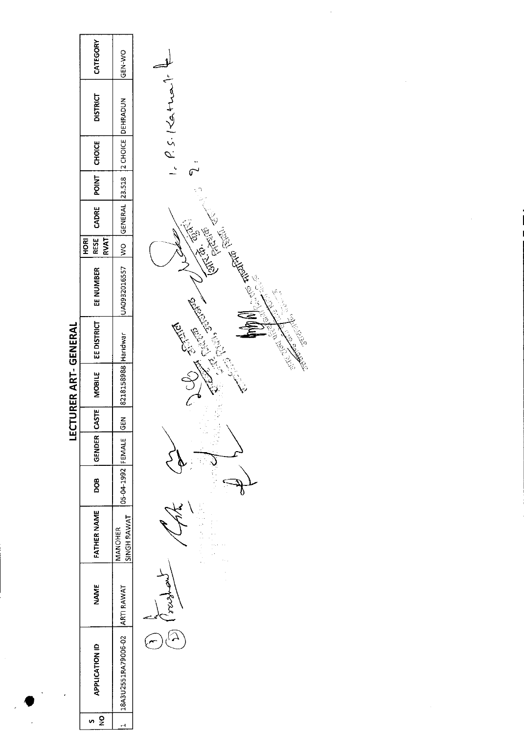|                                  | CATEGORY                          | GEN-WO                 |                                          |
|----------------------------------|-----------------------------------|------------------------|------------------------------------------|
|                                  | <b>DISTRICT</b>                   | DEHRADUN               | $P_{e}$ $P_{e}$ $S$ . $124 \pm 12$       |
|                                  | <b>CHOICE</b>                     | 12 CHOICE              |                                          |
|                                  | POINT                             | 23.518                 |                                          |
|                                  | CADRE                             | GENERAL                |                                          |
|                                  | <b>RVAT</b><br>RESE<br><b>ROH</b> | $\frac{8}{2}$          | CANCE .<br><b>Call Rivers</b>            |
| <b>CTURER ART- GENERAL</b><br>Еq | EE NUMBER                         | UA0932016557           | elle Allen Ellen                         |
|                                  | <b>EE DISTRICT</b>                |                        | Children<br>Centre L<br>意<br>ECT<br>いちゅう |
|                                  | MOBILE                            | 8218158988 Haridwar    |                                          |
|                                  | CASTE                             | $rac{5}{6}$            |                                          |
|                                  | <b>GENDER</b>                     |                        |                                          |
|                                  | BOD                               | 05-04-1992 FEMALE      |                                          |
|                                  | FATHER NAME                       | SINGH RAWAT<br>MANOHER |                                          |
|                                  | <b>NAME</b>                       | <b>ARTI RAWAT</b>      |                                          |
|                                  | <b>APPLICATION ID</b>             | 18A3U2551RA79006-02    |                                          |
|                                  | $\frac{1}{2}$                     |                        |                                          |

 $\label{eq:2.1} \frac{1}{\sqrt{2}}\int_{0}^{\infty}\frac{1}{\sqrt{2\pi}}\left(\frac{1}{\sqrt{2\pi}}\right)^{2\alpha} \frac{1}{\sqrt{2\pi}}\int_{0}^{\infty}\frac{1}{\sqrt{2\pi}}\left(\frac{1}{\sqrt{2\pi}}\right)^{\alpha} \frac{1}{\sqrt{2\pi}}\frac{1}{\sqrt{2\pi}}\int_{0}^{\infty}\frac{1}{\sqrt{2\pi}}\frac{1}{\sqrt{2\pi}}\frac{1}{\sqrt{2\pi}}\frac{1}{\sqrt{2\pi}}\frac{1}{\sqrt{2\pi}}\frac{1}{\sqrt{2\pi}}$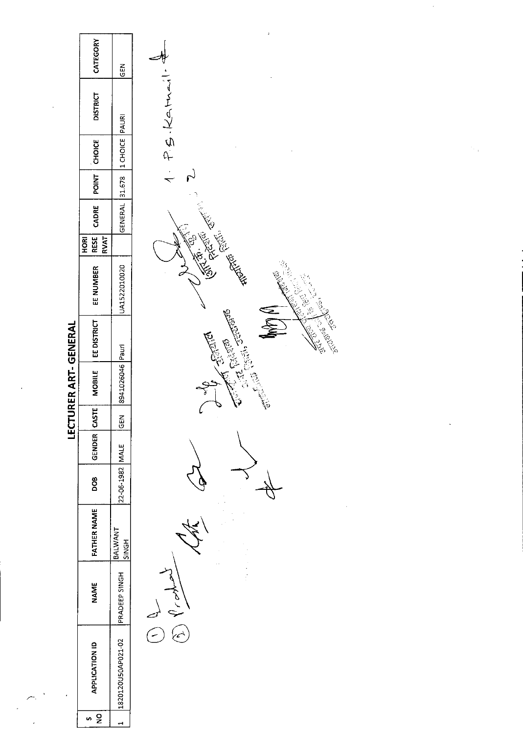|                       | CATEGORY                                 | <b>SEN</b>            | Ā                                                                                                                                                                                                                                    |
|-----------------------|------------------------------------------|-----------------------|--------------------------------------------------------------------------------------------------------------------------------------------------------------------------------------------------------------------------------------|
|                       | <b>DISTRICT</b>                          | PAURI                 | 1. P.S.Katmer                                                                                                                                                                                                                        |
|                       | CHOICE                                   | 1 CHOICE              |                                                                                                                                                                                                                                      |
|                       | <b>POINT</b>                             | 31.678                | $\sim$                                                                                                                                                                                                                               |
|                       | CADRE                                    | <b>GENERAL</b>        |                                                                                                                                                                                                                                      |
|                       | <b>RVAT</b><br><b>RESE</b><br><b>ROH</b> |                       |                                                                                                                                                                                                                                      |
|                       | EE NUMBER                                | UA1522010020          | <b>Contraction Contraction Contraction Contraction Contraction Contraction Contraction Contraction Contraction Contraction Contraction Contraction Contraction Contraction Contraction Contraction Contraction Contraction Contr</b> |
|                       | EE DISTRICT                              |                       | Andrew Court<br><b>CERTIFICATE</b>                                                                                                                                                                                                   |
| LECTURER ART- GENERAL | <b>MOBILE</b>                            | 8941026046 Pauri      |                                                                                                                                                                                                                                      |
|                       | <b>CASTE</b>                             | 뎦                     |                                                                                                                                                                                                                                      |
|                       | <b>GENDER</b>                            |                       |                                                                                                                                                                                                                                      |
|                       | DOB                                      | 22-06-1982 MALE       |                                                                                                                                                                                                                                      |
|                       | <b>FATHER NAME</b>                       | BALWANT<br>SINGH      |                                                                                                                                                                                                                                      |
|                       | <b>NAME</b>                              | PRADEEP SINGH         | lp'                                                                                                                                                                                                                                  |
|                       | APPLICATION ID                           | 1820120U50AP021-02    |                                                                                                                                                                                                                                      |
|                       | $\mathbf{S}$<br>v)                       | $\mathbf{\mathbf{t}}$ |                                                                                                                                                                                                                                      |

 $\mathcal{A}^{\pm}$ 

 $\overline{\mathbb{R}}^3$ 

 $\ddot{\phantom{0}}$ 

 $\sim$ 

 $\label{eq:2} \frac{1}{\sqrt{2}}\sum_{\mathbf{k}\in\mathbb{Z}_+} \frac{1}{\sqrt{2}}\sum_{\mathbf{k}\in\mathbb{Z}_+} \frac{1}{\sqrt{2}}\sum_{\mathbf{k}\in\mathbb{Z}_+} \frac{1}{\sqrt{2}}\sum_{\mathbf{k}\in\mathbb{Z}_+} \frac{1}{\sqrt{2}}\sum_{\mathbf{k}\in\mathbb{Z}_+} \frac{1}{\sqrt{2}}\sum_{\mathbf{k}\in\mathbb{Z}_+} \frac{1}{\sqrt{2}}\sum_{\mathbf{k}\in\mathbb{Z}_+} \frac{1}{\sqrt{2}}\sum_{\mathbf{k}\in\mathbb{Z$ 

 $\sim 10^{-11}$ 

 $\label{eq:2.1} \frac{1}{\sqrt{2}}\left(\frac{1}{\sqrt{2}}\right)^{2} \left(\frac{1}{\sqrt{2}}\right)^{2} \left(\frac{1}{\sqrt{2}}\right)^{2} \left(\frac{1}{\sqrt{2}}\right)^{2} \left(\frac{1}{\sqrt{2}}\right)^{2} \left(\frac{1}{\sqrt{2}}\right)^{2} \left(\frac{1}{\sqrt{2}}\right)^{2} \left(\frac{1}{\sqrt{2}}\right)^{2} \left(\frac{1}{\sqrt{2}}\right)^{2} \left(\frac{1}{\sqrt{2}}\right)^{2} \left(\frac{1}{\sqrt{2}}\right)^{2} \left(\$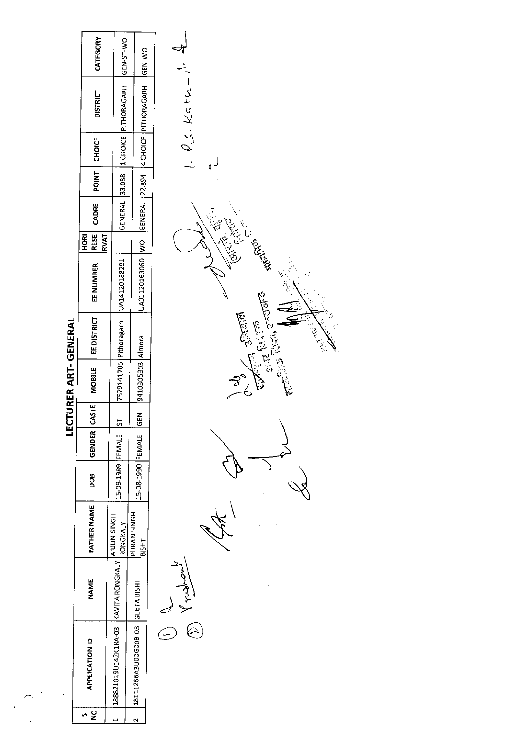|                           | CATEGORY                                 | GEN-ST-WO                                        | <b>CEN-WO</b>                       |                                        |
|---------------------------|------------------------------------------|--------------------------------------------------|-------------------------------------|----------------------------------------|
|                           | <b>DISTRICT</b>                          | GENERAL 33.088 11 CHOICE PITHORAGARH             | GENERAL 22.894 4 CHOICE PITHORAGARH | $\theta_{1}$ , $\varrho_{2}$ . Katu-il |
|                           | CHOICE                                   |                                                  |                                     |                                        |
|                           | POINT                                    |                                                  |                                     |                                        |
|                           | CADRE                                    |                                                  |                                     |                                        |
|                           | <b>RESE</b><br><b>ROH</b><br><b>RVAT</b> |                                                  |                                     | ES REA                                 |
| <b>CTURER ART-GENERAL</b> | EE NUMBER                                | 7579141705 Pithoragarh   UA14120188291           | UA01120163060 WO                    |                                        |
|                           | EE DISTRICT                              |                                                  |                                     | Í                                      |
|                           | <b>MOBILE</b>                            |                                                  | 9410305303 Almora                   |                                        |
|                           | <b>ASTE</b>                              | $\frac{5}{2}$                                    | $rac{5}{65}$                        |                                        |
| Ĕ                         | GENDER                                   |                                                  |                                     |                                        |
|                           | DOB                                      | 15-09-1989 FEMALE                                | 15-08-1990 FEMALE                   |                                        |
|                           | <b>FATHER NAME</b>                       | RONGKALY                                         | PURAN SINGH<br><b>BISHT</b>         |                                        |
|                           | <b>NAME</b>                              |                                                  |                                     |                                        |
|                           | <b>APPLICATION ID</b>                    | 188821019U142K1RA-03 KAVITA RONGKALY ARJUN SINGH | 148111266A3U00G00B-03 GEETA BISHT   |                                        |
|                           | $\mathbf{S}$                             |                                                  | $\sim$                              |                                        |
|                           |                                          |                                                  |                                     |                                        |

 $\overline{\phantom{0}}$ 

Ĵ

Ï, e<br>G **Charles School**<br>Charles Charles School **Altists**  $\sim$ er Ý.

Ŷ,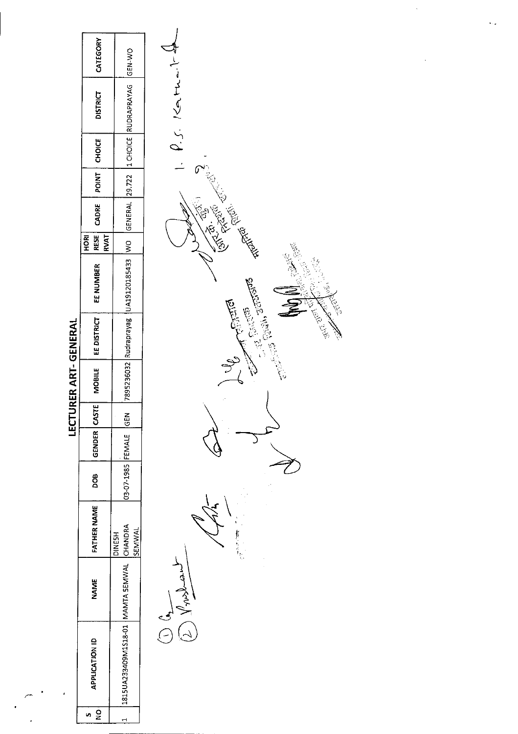|                           | CATEGORY                           | ON-N-D                                    |                         |
|---------------------------|------------------------------------|-------------------------------------------|-------------------------|
|                           | <b>DISTRICT</b>                    | GENERAL 29.722 1 CHOICE RUDRAPRAYAG       | f.5.14                  |
|                           | <b>CHOICE</b>                      |                                           |                         |
|                           | POINT                              |                                           |                         |
|                           | CADRE                              |                                           |                         |
|                           | <b>RESE</b><br><b>RVAT</b><br>HORI |                                           | ٢                       |
|                           | EE NUMBER                          | UA19120185433 WO                          | ER COMPANY<br>نکا<br>چک |
|                           | EE DISTRICT                        |                                           | on to minimales         |
| <b>IURER ART- GENERAL</b> | <b>MOBILE</b>                      | 7895236032 Rudraprayag                    |                         |
| Ξ<br>Ε                    |                                    | $rac{2}{5}$                               |                         |
|                           | GENDER CASTE                       |                                           |                         |
|                           | <b>800</b>                         | 03-07-1985 FEMALE                         |                         |
|                           | <b>FATHER NAME</b>                 | SEMWAL<br><b>DINESH</b>                   | <b>有</b>                |
|                           | <b>NAME</b>                        |                                           | Ker,                    |
|                           | <b>APPLICATION ID</b>              | 1815UA233409M1318-01 MAMTA SEMWAL CHANDRA |                         |
|                           | $\frac{1}{2}$<br>s                 |                                           |                         |

 $\bullet$ 

 $\overline{a}$ 

**Contract Contract Contract Contract Contract Contract Contract Contract Contract Contract Contract Contract Contract Contract Contract Contract Contract Contract Contract Contract Contract Contract Contract Contract Contr** 

 $\geqslant$ 

a de de la

 $\hat{\zeta}_{\rm{c},\sigma}$ 

 $\ddot{\phantom{a}}$ 

 $\hat{\mathcal{F}}$